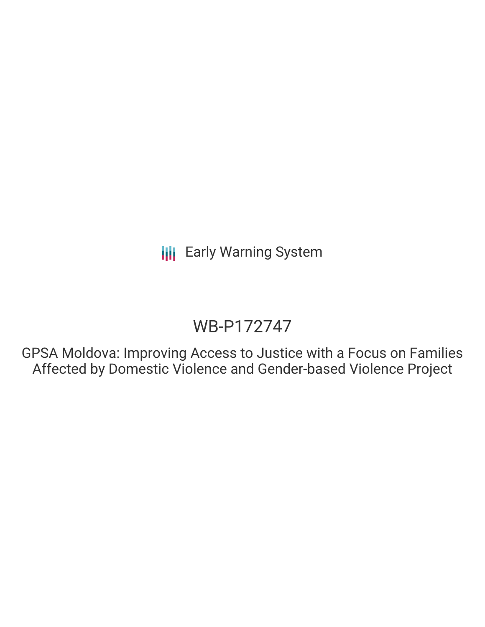# WB-P172747

GPSA Moldova: Improving Access to Justice with a Focus on Families Affected by Domestic Violence and Gender-based Violence Project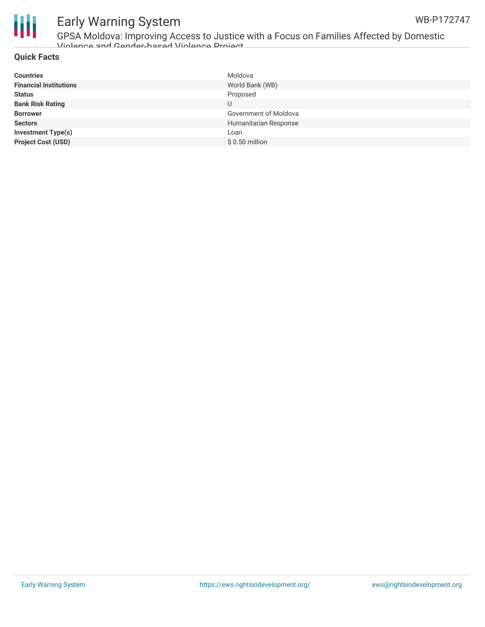

GPSA Moldova: Improving Access to Justice with a Focus on Families Affected by Domestic Violence and Gender-based Violence Project

#### **Quick Facts**

| <b>Countries</b>              | Moldova               |
|-------------------------------|-----------------------|
| <b>Financial Institutions</b> | World Bank (WB)       |
| <b>Status</b>                 | Proposed              |
| <b>Bank Risk Rating</b>       |                       |
| <b>Borrower</b>               | Government of Moldova |
| <b>Sectors</b>                | Humanitarian Response |
| Investment Type(s)            | Loan                  |
| <b>Project Cost (USD)</b>     | $$0.50$ million       |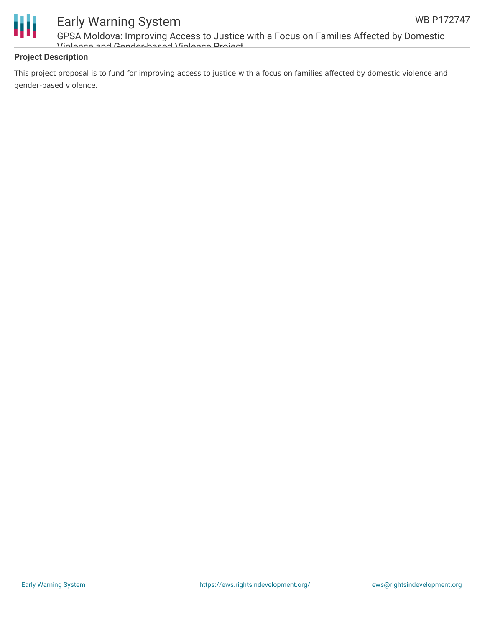

GPSA Moldova: Improving Access to Justice with a Focus on Families Affected by Domestic Violence and Gender-based Violence Project

#### **Project Description**

This project proposal is to fund for improving access to justice with a focus on families affected by domestic violence and gender-based violence.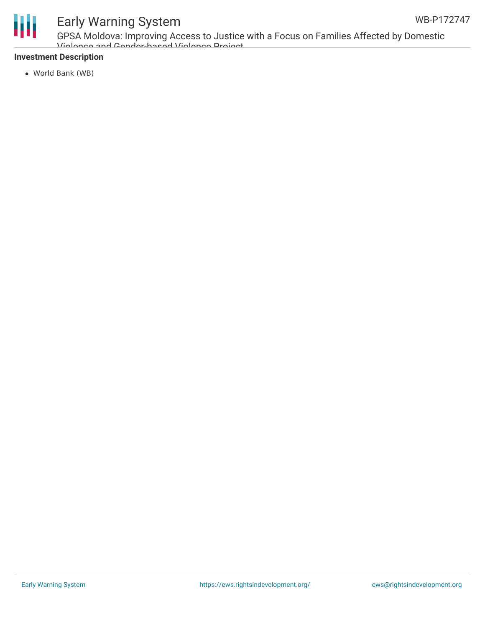

GPSA Moldova: Improving Access to Justice with a Focus on Families Affected by Domestic Violence and Gender-based Violence Project

#### **Investment Description**

World Bank (WB)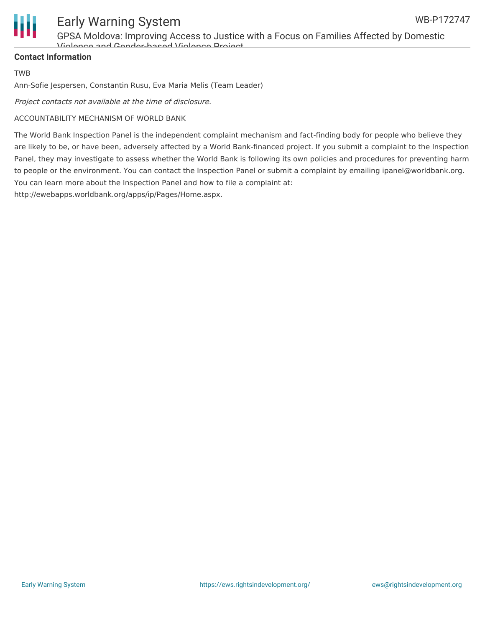

GPSA Moldova: Improving Access to Justice with a Focus on Families Affected by Domestic Violence and Gender-based Violence Project

#### **Contact Information**

TWB

Ann-Sofie Jespersen, Constantin Rusu, Eva Maria Melis (Team Leader)

Project contacts not available at the time of disclosure.

#### ACCOUNTABILITY MECHANISM OF WORLD BANK

The World Bank Inspection Panel is the independent complaint mechanism and fact-finding body for people who believe they are likely to be, or have been, adversely affected by a World Bank-financed project. If you submit a complaint to the Inspection Panel, they may investigate to assess whether the World Bank is following its own policies and procedures for preventing harm to people or the environment. You can contact the Inspection Panel or submit a complaint by emailing ipanel@worldbank.org. You can learn more about the Inspection Panel and how to file a complaint at:

http://ewebapps.worldbank.org/apps/ip/Pages/Home.aspx.